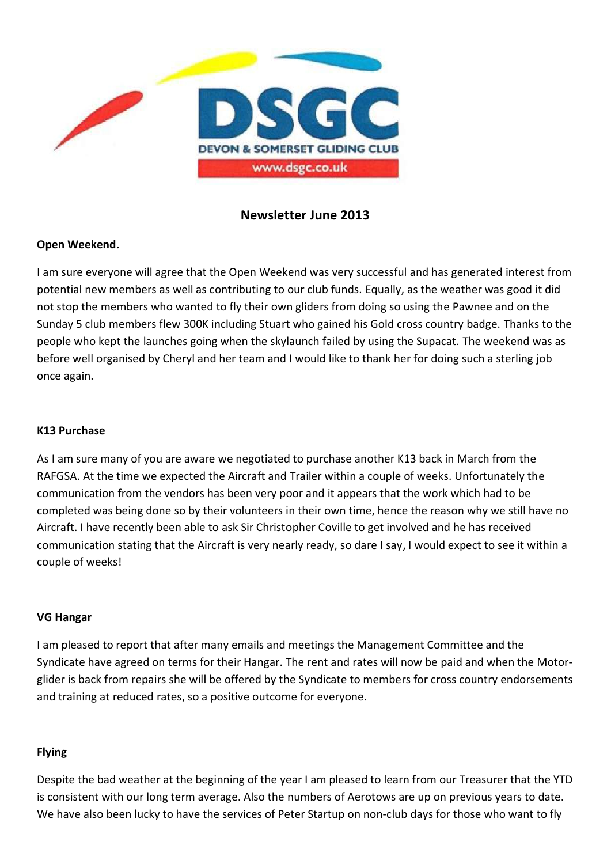

# **Newsletter June 2013**

## **Open Weekend.**

I am sure everyone will agree that the Open Weekend was very successful and has generated interest from potential new members as well as contributing to our club funds. Equally, as the weather was good it did not stop the members who wanted to fly their own gliders from doing so using the Pawnee and on the Sunday 5 club members flew 300K including Stuart who gained his Gold cross country badge. Thanks to the people who kept the launches going when the skylaunch failed by using the Supacat. The weekend was as before well organised by Cheryl and her team and I would like to thank her for doing such a sterling job once again.

### **K13 Purchase**

As I am sure many of you are aware we negotiated to purchase another K13 back in March from the RAFGSA. At the time we expected the Aircraft and Trailer within a couple of weeks. Unfortunately the communication from the vendors has been very poor and it appears that the work which had to be completed was being done so by their volunteers in their own time, hence the reason why we still have no Aircraft. I have recently been able to ask Sir Christopher Coville to get involved and he has received communication stating that the Aircraft is very nearly ready, so dare I say, I would expect to see it within a couple of weeks!

#### **VG Hangar**

I am pleased to report that after many emails and meetings the Management Committee and the Syndicate have agreed on terms for their Hangar. The rent and rates will now be paid and when the Motorglider is back from repairs she will be offered by the Syndicate to members for cross country endorsements and training at reduced rates, so a positive outcome for everyone.

#### **Flying**

Despite the bad weather at the beginning of the year I am pleased to learn from our Treasurer that the YTD is consistent with our long term average. Also the numbers of Aerotows are up on previous years to date. We have also been lucky to have the services of Peter Startup on non-club days for those who want to fly